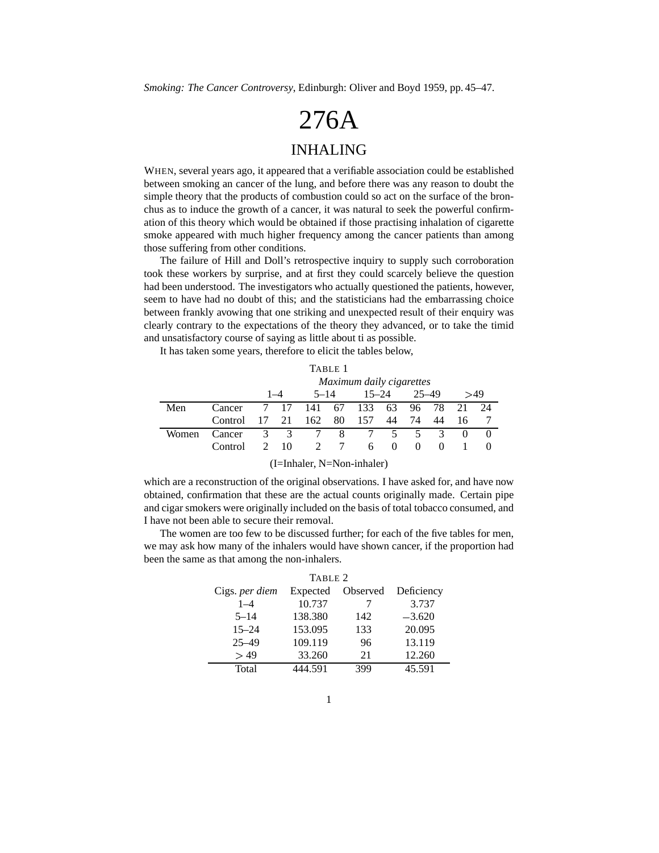*Smoking: The Cancer Controversy*, Edinburgh: Oliver and Boyd 1959, pp. 45–47.

## 276A

## INHALING

WHEN, several years ago, it appeared that a verifiable association could be established between smoking an cancer of the lung, and before there was any reason to doubt the simple theory that the products of combustion could so act on the surface of the bronchus as to induce the growth of a cancer, it was natural to seek the powerful confirmation of this theory which would be obtained if those practising inhalation of cigarette smoke appeared with much higher frequency among the cancer patients than among those suffering from other conditions.

The failure of Hill and Doll's retrospective inquiry to supply such corroboration took these workers by surprise, and at first they could scarcely believe the question had been understood. The investigators who actually questioned the patients, however, seem to have had no doubt of this; and the statisticians had the embarrassing choice between frankly avowing that one striking and unexpected result of their enquiry was clearly contrary to the expectations of the theory they advanced, or to take the timid and unsatisfactory course of saying as little about ti as possible.

It has taken some years, therefore to elicit the tables below,

| Maximum daily cigarettes |  |  |                          |  |                                   |        |           |    |                              |                                                                                    |
|--------------------------|--|--|--------------------------|--|-----------------------------------|--------|-----------|----|------------------------------|------------------------------------------------------------------------------------|
|                          |  |  |                          |  |                                   |        |           |    |                              | >49                                                                                |
| Cancer                   |  |  |                          |  |                                   |        |           |    | 21                           | 24                                                                                 |
| Control                  |  |  |                          |  |                                   | 44     | 74        | 44 | 16                           |                                                                                    |
| Cancer                   |  |  |                          |  |                                   |        |           |    | $\theta$                     | $\theta$                                                                           |
|                          |  |  |                          |  |                                   |        |           |    |                              | $\left($                                                                           |
|                          |  |  | $1 - 4$<br>7 17<br>17 21 |  | TABLE 1<br>$5 - 14$<br>141<br>162 | 80 157 | $15 - 24$ |    | $25 - 49$<br>67 133 63 96 78 | 3 3 7 8 7 5 5 3<br>2 10<br>2 7<br>Control<br>$\theta$<br>6<br>$\theta$<br>$\theta$ |

(I=Inhaler, N=Non-inhaler)

which are a reconstruction of the original observations. I have asked for, and have now obtained, confirmation that these are the actual counts originally made. Certain pipe and cigar smokers were originally included on the basis of total tobacco consumed, and I have not been able to secure their removal.

The women are too few to be discussed further; for each of the five tables for men, we may ask how many of the inhalers would have shown cancer, if the proportion had been the same as that among the non-inhalers.

| TABLE 2        |          |          |            |  |  |  |  |
|----------------|----------|----------|------------|--|--|--|--|
| Cigs. per diem | Expected | Observed | Deficiency |  |  |  |  |
| $1 - 4$        | 10.737   |          | 3.737      |  |  |  |  |
| $5 - 14$       | 138.380  | 142      | $-3.620$   |  |  |  |  |
| $15 - 24$      | 153.095  | 133      | 20.095     |  |  |  |  |
| $25 - 49$      | 109.119  | 96       | 13.119     |  |  |  |  |
| > 49           | 33.260   | 21       | 12.260     |  |  |  |  |
| Total          | 444.591  | 399      | 45.591     |  |  |  |  |